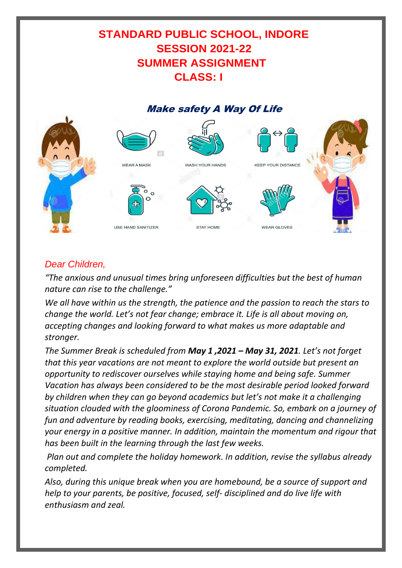# **STANDARD PUBLIC SCHOOL, INDORE SESSION 2021-22 SUMMER ASSIGNMENT CLASS: I**

# Make safety A Way Of Life



# *Dear Children,*

*"The anxious and unusual times bring unforeseen difficulties but the best of human nature can rise to the challenge."* 

*We all have within us the strength, the patience and the passion to reach the stars to change the world. Let's not fear change; embrace it. Life is all about moving on, accepting changes and looking forward to what makes us more adaptable and stronger.* 

*The Summer Break is scheduled from May 1 ,2021 – May 31, 2021. Let's not forget that this year vacations are not meant to explore the world outside but present an opportunity to rediscover ourselves while staying home and being safe. Summer Vacation has always been considered to be the most desirable period looked forward by children when they can go beyond academics but let's not make it a challenging situation clouded with the gloominess of Corona Pandemic. So, embark on a journey of fun and adventure by reading books, exercising, meditating, dancing and channelizing your energy in a positive manner. In addition, maintain the momentum and rigour that has been built in the learning through the last few weeks.*

*Plan out and complete the holiday homework. In addition, revise the syllabus already completed.*

*Also, during this unique break when you are homebound, be a source of support and help to your parents, be positive, focused, self- disciplined and do live life with enthusiasm and zeal.*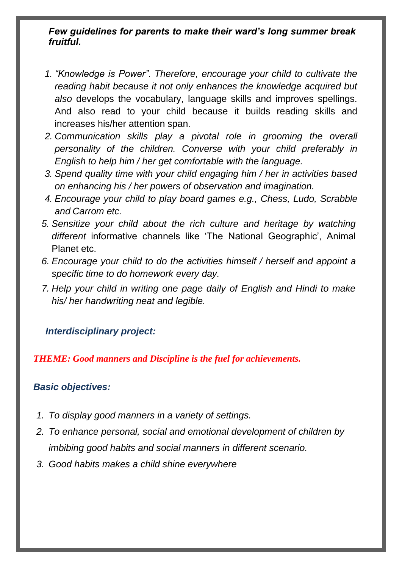### *Few guidelines for parents to make their ward's long summer break fruitful.*

- *1. "Knowledge is Power". Therefore, encourage your child to cultivate the reading habit because it not only enhances the knowledge acquired but also* develops the vocabulary, language skills and improves spellings. And also read to your child because it builds reading skills and increases his/her attention span.
- *2. Communication skills play a pivotal role in grooming the overall personality of the children. Converse with your child preferably in English to help him / her get comfortable with the language.*
- *3. Spend quality time with your child engaging him / her in activities based on enhancing his / her powers of observation and imagination.*
- *4. Encourage your child to play board games e.g., Chess, Ludo, Scrabble and Carrom etc.*
- *5. Sensitize your child about the rich culture and heritage by watching different* informative channels like 'The National Geographic', Animal Planet etc.
- *6. Encourage your child to do the activities himself / herself and appoint a specific time to do homework every day.*
- *7. Help your child in writing one page daily of English and Hindi to make his/ her handwriting neat and legible.*

### *Interdisciplinary project:*

*THEME: Good manners and Discipline is the fuel for achievements.*

### *Basic objectives:*

- *1. To display good manners in a variety of settings.*
- *2. To enhance personal, social and emotional development of children by imbibing good habits and social manners in different scenario.*
- *3. Good habits makes a child shine everywhere*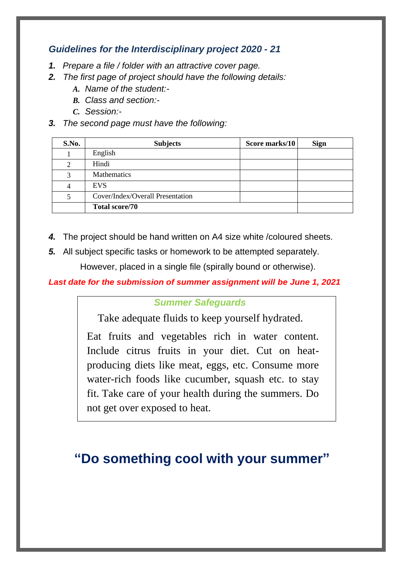### *Guidelines for the Interdisciplinary project 2020 - 21*

- *1. Prepare a file / folder with an attractive cover page.*
- *2. The first page of project should have the following details:*
	- *A. Name of the student:-*
	- *B. Class and section:-*
	- *C. Session:-*
- *3. The second page must have the following:*

| S.No. | <b>Subjects</b>                  | Score marks/10 | <b>Sign</b> |
|-------|----------------------------------|----------------|-------------|
|       | English                          |                |             |
| 2     | Hindi                            |                |             |
| 3     | <b>Mathematics</b>               |                |             |
|       | EVS.                             |                |             |
|       | Cover/Index/Overall Presentation |                |             |
|       | <b>Total score/70</b>            |                |             |

- *4.* The project should be hand written on A4 size white /coloured sheets.
- *5.* All subject specific tasks or homework to be attempted separately.

However, placed in a single file (spirally bound or otherwise).

*Last date for the submission of summer assignment will be June 1, 2021*

#### *Summer Safeguards*

Take adequate fluids to keep yourself hydrated.

Eat fruits and vegetables rich in water content. Include citrus fruits in your diet. Cut on heatproducing diets like meat, eggs, etc. Consume more water-rich foods like cucumber, squash etc. to stay fit. Take care of your health during the summers. Do not get over exposed to heat.

# **"Do something cool with your summer"**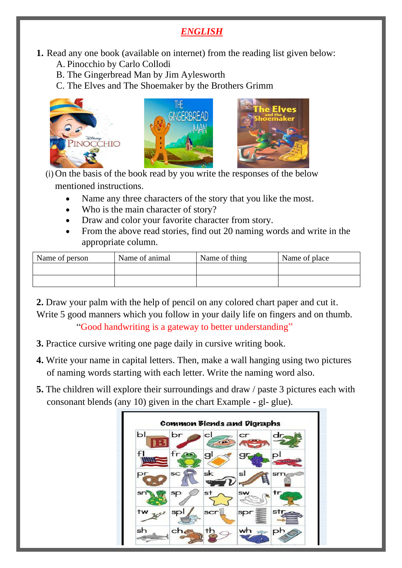# *ENGLISH*

- **1.** Read any one book (available on internet) from the reading list given below:
	- A. Pinocchio by Carlo Collodi
	- B. The Gingerbread Man by Jim Aylesworth
	- C. The Elves and The Shoemaker by the Brothers Grimm



(i) On the basis of the book read by you write the responses of the below mentioned instructions.

- Name any three characters of the story that you like the most.
- Who is the main character of story?
- Draw and color your favorite character from story.
- From the above read stories, find out 20 naming words and write in the appropriate column.

| Name of person | Name of animal | Name of thing | Name of place |
|----------------|----------------|---------------|---------------|
|                |                |               |               |
|                |                |               |               |

**2.** Draw your palm with the help of pencil on any colored chart paper and cut it. Write 5 good manners which you follow in your daily life on fingers and on thumb. "Good handwriting is a gateway to better understanding"

- **3.** Practice cursive writing one page daily in cursive writing book.
- **4.** Write your name in capital letters. Then, make a wall hanging using two pictures of naming words starting with each letter. Write the naming word also.
- **5.** The children will explore their surroundings and draw / paste 3 pictures each with consonant blends (any 10) given in the chart Example - gl- glue).

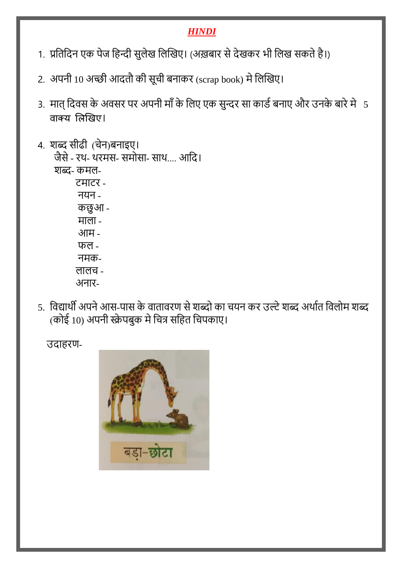# *HINDI*

- 1. प्रतिदिन एक पेज हिन्दी सुलेख लिखिए। (अख़बार से देखकर भी लिख सकते है।)
- 2. अपनी 10 अच्छी आदतौ की सूची बनाकर (scrap book) मे लिखिए।
- 3. मात् दिवस के अवसर पर अपनी माँ के लिए एक सुन्दर सा कार्ड बनाए और उनके बारे में 5 वाक्य लिखिए।
- 4. शब्द सीढी (चेन)बनाइए। जैसे- रथ- थरमस- समोसा- साथ.... आति। शब्द- कमल- टमाटर - नयन - कछु आ - माला - आम - फल - नमक- लालच - अनार-
- 5. विद्यार्थी अपने आस-पास के वातावरण से शब्दो का चयन कर उल्टे शब्द अर्थात विलोम शब्द (कोई 10) अपनी स्क्रेपबुक मे चित्र सहित चिपकाए।

उदाहरण-

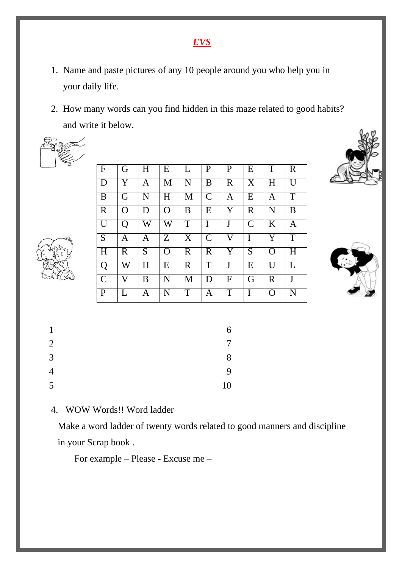# *EVS*

- 1. Name and paste pictures of any 10 people around you who help you in your daily life.
- 2. How many words can you find hidden in this maze related to good habits? and write it below.





| l F            | G           | H | E                     | L              | P             | $\mathbf{P}$ | E                     | T                       | $\mathbf R$    |
|----------------|-------------|---|-----------------------|----------------|---------------|--------------|-----------------------|-------------------------|----------------|
| D              | Y           | A | M                     | N              | B             | $\mathbf R$  | $\overline{\text{X}}$ | $\overline{\mathrm{H}}$ | $\overline{U}$ |
| B              | G           | N | H                     | M              | $\mathcal{C}$ | Α            | E                     | A                       | T              |
| $\mathbf R$    | O           | D | $\Omega$              | B              | E             | Y            | $\mathbf R$           | N                       | B              |
| U              | Q           | W | $\overline{\text{W}}$ | $\overline{T}$ | I             | J            | $\overline{C}$        | $\overline{\mathrm{K}}$ | A              |
| $\overline{S}$ | A           | A | $\overline{Z}$        | X              | $\mathcal{C}$ | V            | I                     | Y                       | T              |
| H              | $\mathbf R$ | S | $\Omega$              | $\mathbf R$    | $\mathbf R$   | Y            | S                     | $\Omega$                | H              |
| Q              | W           | H | E                     | $\mathbf R$    | T             | J            | E                     | $\overline{U}$          | $\mathbf{L}$   |
| $\mathcal{C}$  | V           | B | N                     | M              | D             | F            | G                     | $\mathbf R$             | J              |
| $\mathbf{P}$   | L           | Α | N                     | $\overline{T}$ | Α             | T            | I                     | $\Omega$                | N              |





| 1              | 6      |
|----------------|--------|
| 2              | $\tau$ |
| $\overline{3}$ | 8      |
| $\overline{4}$ | 9      |
| 5              | 10     |

### 4. WOW Words!! Word ladder

Make a word ladder of twenty words related to good manners and discipline in your Scrap book .

For example – Please - Excuse me –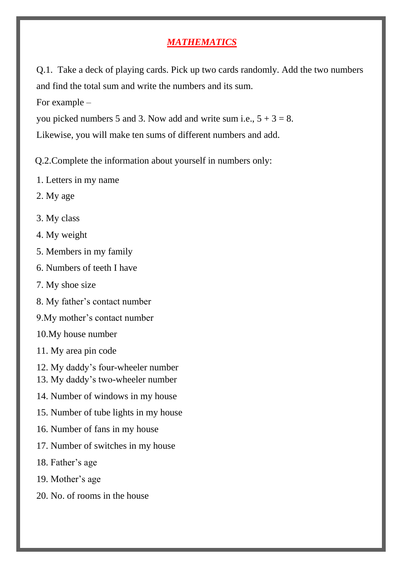### *MATHEMATICS*

Q.1. Take a deck of playing cards. Pick up two cards randomly. Add the two numbers and find the total sum and write the numbers and its sum.

For example –

you picked numbers 5 and 3. Now add and write sum i.e.,  $5 + 3 = 8$ .

Likewise, you will make ten sums of different numbers and add.

Q.2.Complete the information about yourself in numbers only:

- 1. Letters in my name
- 2. My age
- 3. My class
- 4. My weight
- 5. Members in my family
- 6. Numbers of teeth I have
- 7. My shoe size
- 8. My father's contact number
- 9.My mother's contact number
- 10.My house number
- 11. My area pin code
- 12. My daddy's four-wheeler number
- 13. My daddy's two-wheeler number
- 14. Number of windows in my house
- 15. Number of tube lights in my house
- 16. Number of fans in my house
- 17. Number of switches in my house
- 18. Father's age
- 19. Mother's age
- 20. No. of rooms in the house